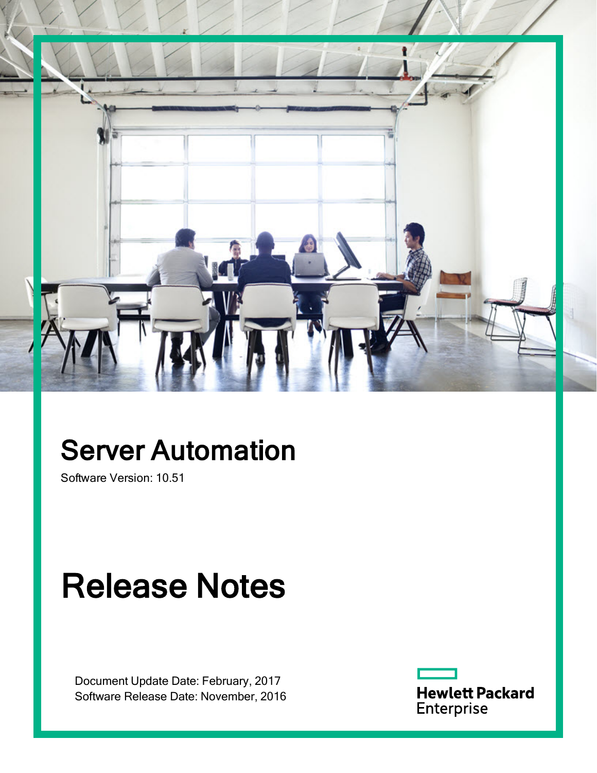

# Server Automation

Software Version: 10.51

# Release Notes

Document Update Date: February, 2017 Software Release Date: November, 2016

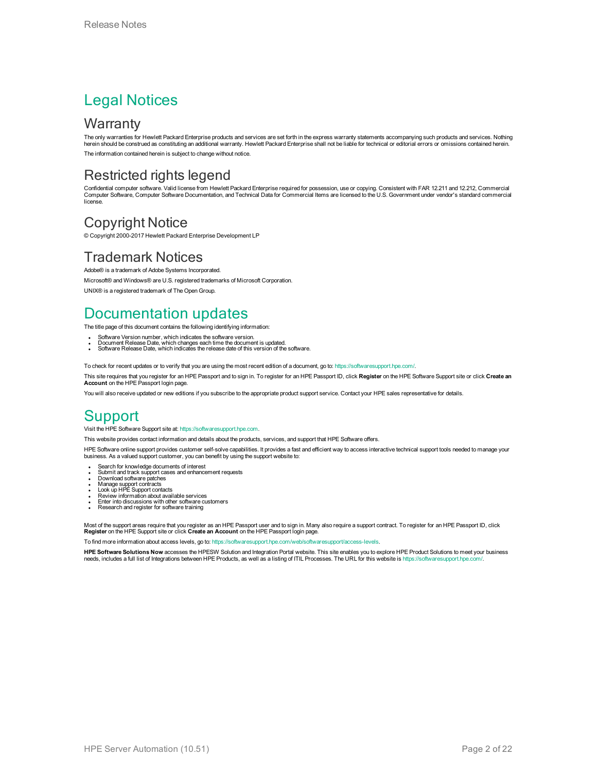#### Legal Notices

#### **Warranty**

The only warranties for Hewlett Packard Enterprise products and services are set forth in the express warranty statements accompanying such products and services. Nothing herein should be construed as constituting an additional warranty. Hewlett Packard Enterprise shall not be liable for technical or editorial errors or omissions contained herein. The information contained herein is subject to change without notice.

#### Restricted rights legend

Confidential computer software. Valid license from Hewlett Packard Enterprise required for possession, use or copying. Consistent with FAR 12.211 and 12.212, Commercial Computer Software, Computer Software Documentation, and Technical Data for Commercial Items are licensed to the U.S. Government under vendor's standard commercial license.

#### Copyright Notice

© Copyright 2000-2017 Hewlett Packard Enterprise Development LP

#### Trademark Notices

Adobe® is a trademark of Adobe Systems Incorporated. Microsoft® and Windows® are U.S. registered trademarks of Microsoft Corporation.

UNIX® is a registered trademark of The Open Group.

#### Documentation updates

The title page of this document contains the following identifying information:

- 
- Software Version number, which indicates the software version.<br>▪ Document Release Date, which changes each time the document is updated.<br>▪ Software Release Date, which indicates the release date of this version of the s
- 

To check for recent updates or to verify that you are using the most recent edition of a document, go to: <https://softwaresupport.hpe.com/>.

This site requires that you register for an HPE Passport and to sign in. To register for an HPE Passport ID, click **Register** on the HPE Software Support site or click **Create an Account** on the HPE Passport login page.

You will also receive updated or new editions if you subscribe to the appropriate product support service. Contact your HPE sales representative for details.

#### **Support**

#### Visit the HPE Software Support site at: [https://softwaresupport.hpe.com.](https://softwaresupport.hpe.com/)

This website provides contact information and details about the products, services, and support that HPE Software offers.

HPE Software online support provides customer self-solve capabilities. It provides a fast and efficient way to access interactive technical support tools needed to manage your business. As a valued support customer, you can benefit by using the support website to:

- Search for knowledge documents of interest
- Submit and track support cases and enhancement requests
- 
- <sup>l</sup> Download software patches <sup>l</sup> Manage support contracts <sup>l</sup> Look up HPE Support contacts
- <sup>l</sup> Review information about available services
- **Enter into discussions with other software customers**<br>Research and register for software training
- 

Most of the support areas require that you register as an HPE Passport user and to sign in. Many also require a support contract. To register for an HPE Passport ID, click<br><mark>Register</mark> on the HPE Support site or click <mark>Creat</mark>

To find more information about access levels, go to: <https://softwaresupport.hpe.com/web/softwaresupport/access-levels>.

**HPE Software Solutions Now** accesses the HPESW Solution and Integration Portal website. This site enables you to explore HPE Product Solutions to meet your business needs, includes a full list of Integrations between HPE Products, as well as a listing of ITIL Processes. The URL for this website is https://softwaresupport.hpe.com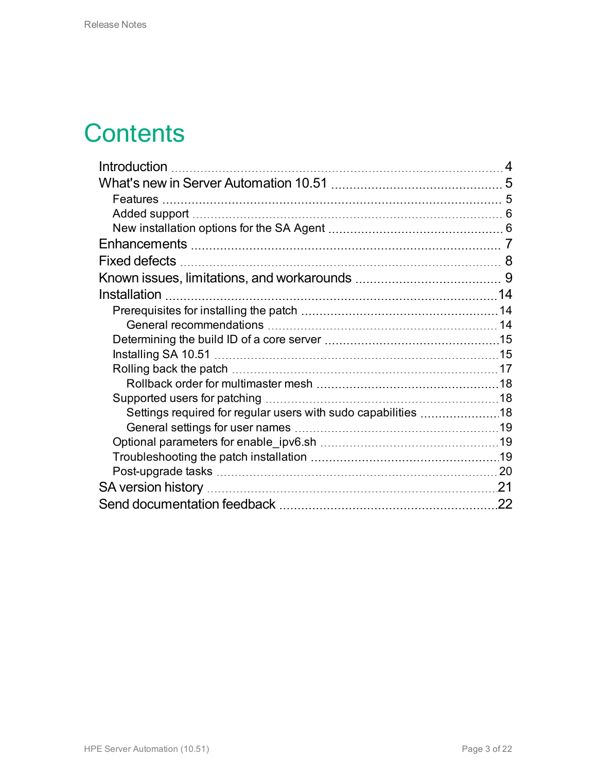### **Contents**

| Introduction                                                  |     |
|---------------------------------------------------------------|-----|
|                                                               |     |
|                                                               |     |
|                                                               |     |
|                                                               |     |
|                                                               |     |
| Fixed defects                                                 |     |
|                                                               |     |
| Installation                                                  | 14  |
|                                                               | 14  |
|                                                               |     |
|                                                               |     |
|                                                               |     |
|                                                               |     |
|                                                               |     |
|                                                               |     |
| Settings required for regular users with sudo capabilities 18 |     |
|                                                               |     |
|                                                               |     |
|                                                               |     |
|                                                               |     |
|                                                               | .21 |
|                                                               | 22  |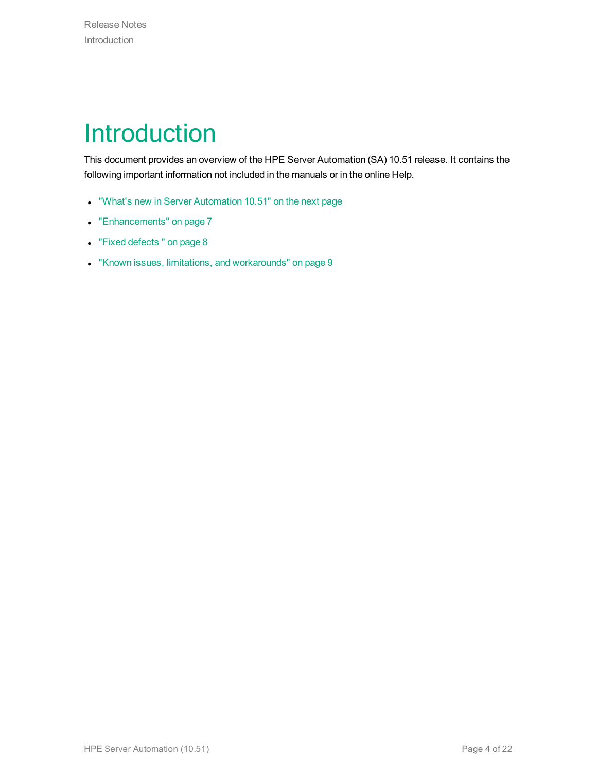### <span id="page-3-0"></span>Introduction

This document provides an overview of the HPE Server Automation (SA) 10.51 release. It contains the following important information not included in the manuals or in the online Help.

- "What's new in Server [Automation](#page-4-0) 10.51" on the next page
- ["Enhancements"](#page-6-0) on page 7
- "Fixed [defects](#page-7-0)" on page 8
- "Known issues, limitations, and [workarounds"](#page-8-0) on page 9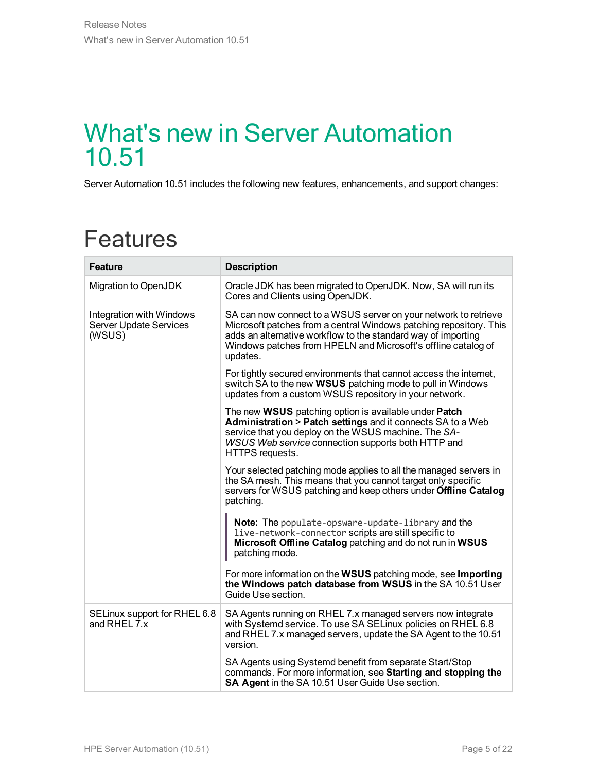#### <span id="page-4-0"></span>What's new in Server Automation 10.51

Server Automation 10.51 includes the following new features, enhancements, and support changes:

#### <span id="page-4-1"></span>Features

| <b>Feature</b>                                               | <b>Description</b>                                                                                                                                                                                                                                                                  |
|--------------------------------------------------------------|-------------------------------------------------------------------------------------------------------------------------------------------------------------------------------------------------------------------------------------------------------------------------------------|
| Migration to OpenJDK                                         | Oracle JDK has been migrated to OpenJDK. Now, SA will run its<br>Cores and Clients using OpenJDK.                                                                                                                                                                                   |
| Integration with Windows<br>Server Update Services<br>(WSUS) | SA can now connect to a WSUS server on your network to retrieve<br>Microsoft patches from a central Windows patching repository. This<br>adds an alternative workflow to the standard way of importing<br>Windows patches from HPELN and Microsoft's offline catalog of<br>updates. |
|                                                              | For tightly secured environments that cannot access the internet,<br>switch SA to the new <b>WSUS</b> patching mode to pull in Windows<br>updates from a custom WSUS repository in your network.                                                                                    |
|                                                              | The new WSUS patching option is available under Patch<br>Administration > Patch settings and it connects SA to a Web<br>service that you deploy on the WSUS machine. The SA-<br>WSUS Web service connection supports both HTTP and<br>HTTPS requests.                               |
|                                                              | Your selected patching mode applies to all the managed servers in<br>the SA mesh. This means that you cannot target only specific<br>servers for WSUS patching and keep others under Offline Catalog<br>patching.                                                                   |
|                                                              | Note: The populate-opsware-update-library and the<br>live-network-connector scripts are still specific to<br>Microsoft Offline Catalog patching and do not run in WSUS<br>patching mode.                                                                                            |
|                                                              | For more information on the WSUS patching mode, see Importing<br>the Windows patch database from WSUS in the SA 10.51 User<br>Guide Use section.                                                                                                                                    |
| SELinux support for RHEL 6.8<br>and RHEL 7.x                 | SA Agents running on RHEL 7.x managed servers now integrate<br>with Systemd service. To use SA SELInux policies on RHEL 6.8<br>and RHEL 7.x managed servers, update the SA Agent to the 10.51<br>version.                                                                           |
|                                                              | SA Agents using Systemd benefit from separate Start/Stop<br>commands. For more information, see Starting and stopping the<br>SA Agent in the SA 10.51 User Guide Use section.                                                                                                       |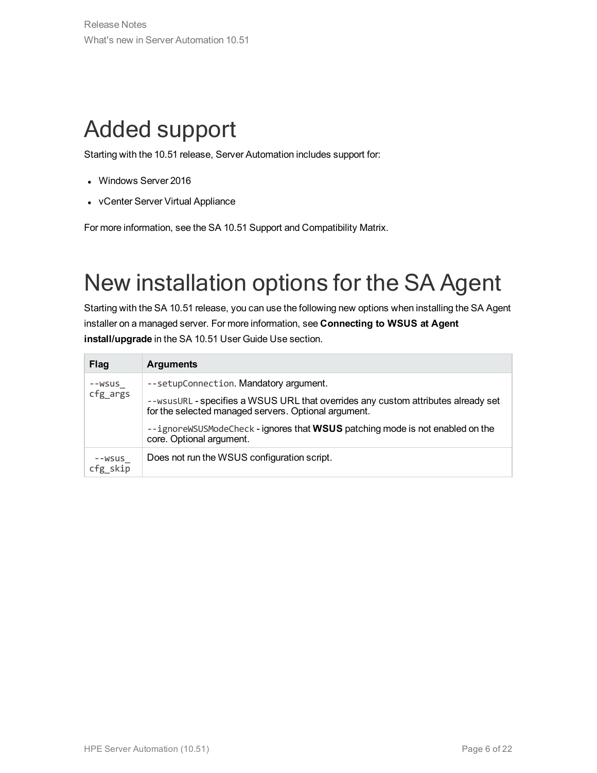### <span id="page-5-0"></span>Added support

Starting with the 10.51 release, Server Automation includes support for:

- Windows Server 2016
- vCenter Server Virtual Appliance

For more information, see the SA 10.51 Support and Compatibility Matrix.

### <span id="page-5-1"></span>New installation options for the SA Agent

Starting with the SA 10.51 release, you can use the following new options when installing the SA Agent installer on a managed server. For more information, see **Connecting to WSUS at Agent install/upgrade** in the SA 10.51 User Guide Use section.

| <b>Flag</b>          | <b>Arguments</b>                                                                                                                        |
|----------------------|-----------------------------------------------------------------------------------------------------------------------------------------|
| --wsus               | --setupConnection. Mandatory argument.                                                                                                  |
| cfg_args             | --wsusURL-specifies a WSUS URL that overrides any custom attributes already set<br>for the selected managed servers. Optional argument. |
|                      | --ignoreWSUSModeCheck - ignores that WSUS patching mode is not enabled on the<br>core. Optional argument.                               |
| --WSUS<br>$cfg$ skip | Does not run the WSUS configuration script.                                                                                             |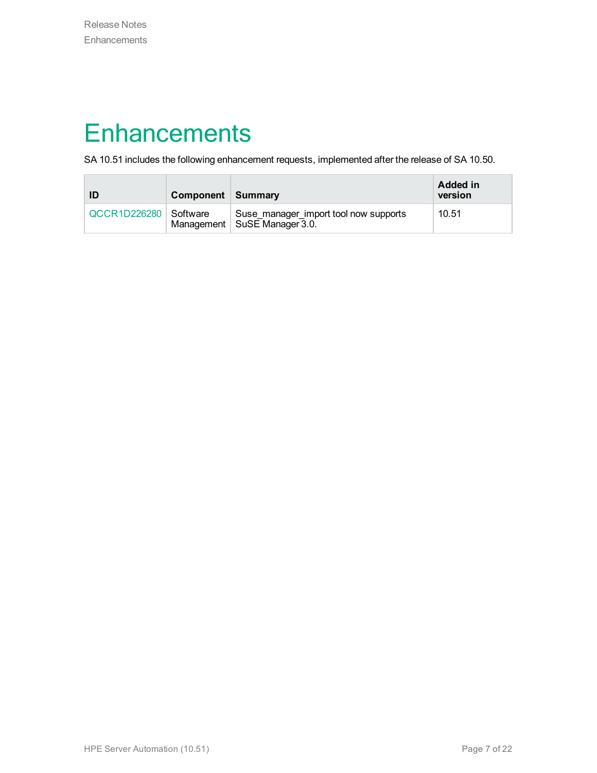#### <span id="page-6-0"></span>**Enhancements**

SA 10.51 includes the following enhancement requests, implemented after the release of SA 10.50.

| ID                      | Component Summary |                                                                         | Added in<br>version |
|-------------------------|-------------------|-------------------------------------------------------------------------|---------------------|
| QCCR1D226280   Software |                   | Suse_manager_import tool now supports<br>Management   SuSE Manager 3.0. | 10.51               |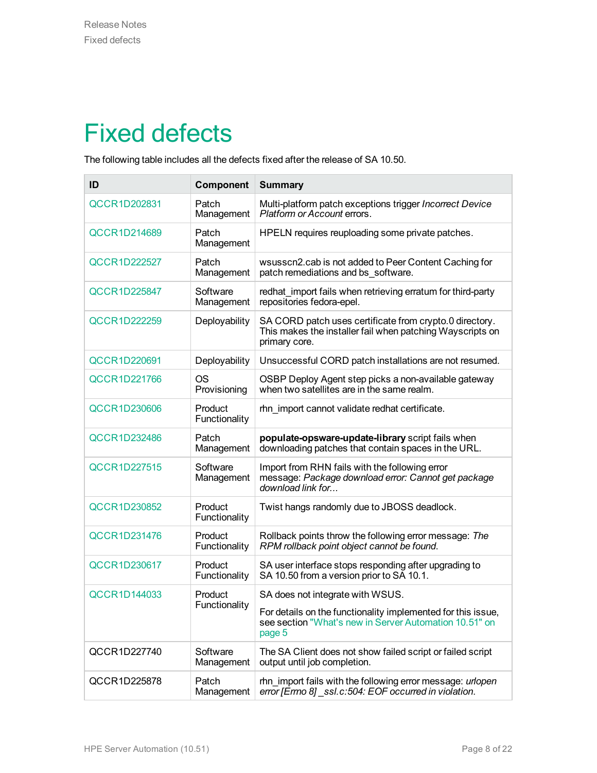### <span id="page-7-0"></span>Fixed defects

The following table includes all the defects fixed after the release of SA 10.50.

| ID                  | Component                | <b>Summary</b>                                                                                                                        |
|---------------------|--------------------------|---------------------------------------------------------------------------------------------------------------------------------------|
| QCCR1D202831        | Patch<br>Management      | Multi-platform patch exceptions trigger Incorrect Device<br>Platform or Account errors.                                               |
| QCCR1D214689        | Patch<br>Management      | HPELN requires reuploading some private patches.                                                                                      |
| QCCR1D222527        | Patch<br>Management      | wsusscn2.cab is not added to Peer Content Caching for<br>patch remediations and bs software.                                          |
| QCCR1D225847        | Software<br>Management   | redhat_import fails when retrieving erratum for third-party<br>repositories fedora-epel.                                              |
| QCCR1D222259        | Deployability            | SA CORD patch uses certificate from crypto.0 directory.<br>This makes the installer fail when patching Wayscripts on<br>primary core. |
| QCCR1D220691        | Deployability            | Unsuccessful CORD patch installations are not resumed.                                                                                |
| QCCR1D221766        | OS<br>Provisioning       | OSBP Deploy Agent step picks a non-available gateway<br>when two satellites are in the same realm.                                    |
| <b>QCCR1D230606</b> | Product<br>Functionality | rhn_import cannot validate redhat certificate.                                                                                        |
| <b>QCCR1D232486</b> | Patch<br>Management      | populate-opsware-update-library script fails when<br>downloading patches that contain spaces in the URL.                              |
| QCCR1D227515        | Software<br>Management   | Import from RHN fails with the following error<br>message: Package download error: Cannot get package<br>download link for            |
| QCCR1D230852        | Product<br>Functionality | Twist hangs randomly due to JBOSS deadlock.                                                                                           |
| QCCR1D231476        | Product<br>Functionality | Rollback points throw the following error message: The<br>RPM rollback point object cannot be found.                                  |
| QCCR1D230617        | Product<br>Functionality | SA user interface stops responding after upgrading to<br>SA 10.50 from a version prior to SA 10.1.                                    |
| QCCR1D144033        | Product                  | SA does not integrate with WSUS.                                                                                                      |
|                     | Functionality            | For details on the functionality implemented for this issue,<br>see section "What's new in Server Automation 10.51" on<br>page 5      |
| QCCR1D227740        | Software<br>Management   | The SA Client does not show failed script or failed script<br>output until job completion.                                            |
| QCCR1D225878        | Patch<br>Management      | rhn import fails with the following error message: urlopen<br>error [Errno 8] _ssl.c:504: EOF occurred in violation.                  |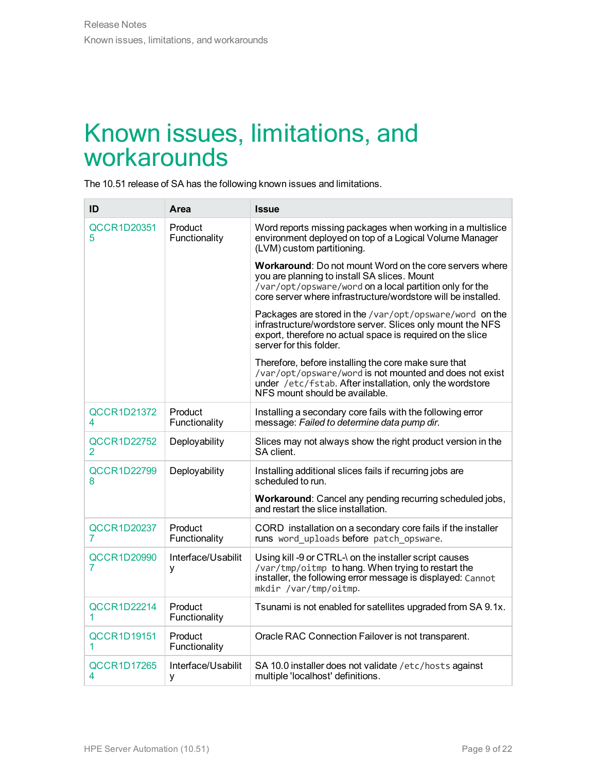#### <span id="page-8-0"></span>Known issues, limitations, and workarounds

The 10.51 release of SA has the following known issues and limitations.

| ID                       | Area                     | <b>Issue</b>                                                                                                                                                                                                                        |
|--------------------------|--------------------------|-------------------------------------------------------------------------------------------------------------------------------------------------------------------------------------------------------------------------------------|
| <b>QCCR1D20351</b><br>5  | Product<br>Functionality | Word reports missing packages when working in a multislice<br>environment deployed on top of a Logical Volume Manager<br>(LVM) custom partitioning.                                                                                 |
|                          |                          | Workaround: Do not mount Word on the core servers where<br>you are planning to install SA slices. Mount<br>/var/opt/opsware/word on a local partition only for the<br>core server where infrastructure/wordstore will be installed. |
|                          |                          | Packages are stored in the /var/opt/opsware/word on the<br>infrastructure/wordstore server. Slices only mount the NFS<br>export, therefore no actual space is required on the slice<br>server for this folder.                      |
|                          |                          | Therefore, before installing the core make sure that<br>/var/opt/opsware/word is not mounted and does not exist<br>under /etc/fstab. After installation, only the wordstore<br>NFS mount should be available.                       |
| <b>QCCR1D21372</b><br>4  | Product<br>Functionality | Installing a secondary core fails with the following error<br>message: Failed to determine data pump dir.                                                                                                                           |
| QCCR1D22752<br>2         | Deployability            | Slices may not always show the right product version in the<br>SA client.                                                                                                                                                           |
| <b>QCCR1D22799</b><br>8  | Deployability            | Installing additional slices fails if recurring jobs are<br>scheduled to run.                                                                                                                                                       |
|                          |                          | Workaround: Cancel any pending recurring scheduled jobs,<br>and restart the slice installation.                                                                                                                                     |
| QCCR1D20237<br>7         | Product<br>Functionality | CORD installation on a secondary core fails if the installer<br>runs word uploads before patch opsware.                                                                                                                             |
| <b>QCCR1D20990</b><br>7  | Interface/Usabilit<br>У  | Using kill -9 or CTRL-\ on the installer script causes<br>/var/tmp/oitmp to hang. When trying to restart the<br>installer, the following error message is displayed: Cannot<br>mkdir /var/tmp/oitmp.                                |
| <b>QCCR1D22214</b><br>1. | Product<br>Functionality | Tsunami is not enabled for satellites upgraded from SA 9.1x.                                                                                                                                                                        |
| <b>QCCR1D19151</b><br>1. | Product<br>Functionality | Oracle RAC Connection Failover is not transparent.                                                                                                                                                                                  |
| <b>QCCR1D17265</b><br>4  | Interface/Usabilit<br>У  | SA 10.0 installer does not validate /etc/hosts against<br>multiple 'localhost' definitions.                                                                                                                                         |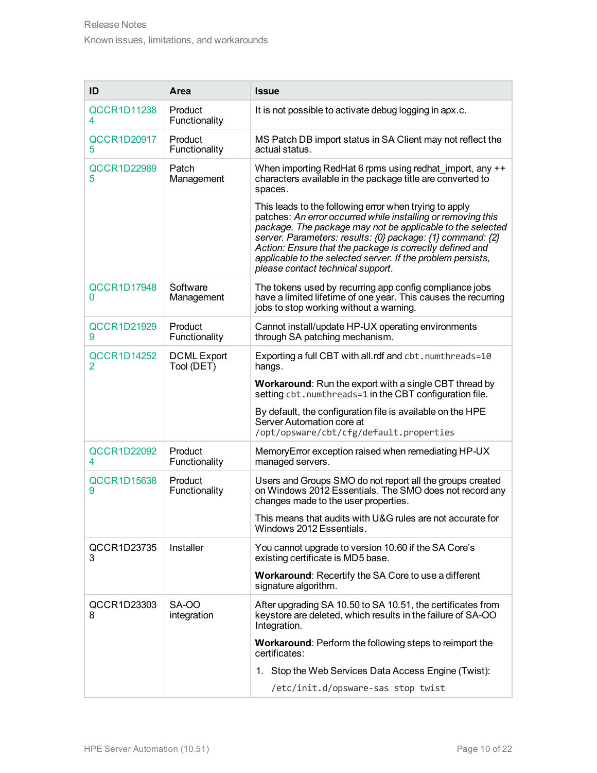| ID                                   | Area                             | <b>Issue</b>                                                                                                                                                                                                                                                                                                                                                                                                       |
|--------------------------------------|----------------------------------|--------------------------------------------------------------------------------------------------------------------------------------------------------------------------------------------------------------------------------------------------------------------------------------------------------------------------------------------------------------------------------------------------------------------|
| <b>QCCR1D11238</b><br>4              | Product<br>Functionality         | It is not possible to activate debug logging in apx.c.                                                                                                                                                                                                                                                                                                                                                             |
| <b>QCCR1D20917</b><br>5.             | Product<br>Functionality         | MS Patch DB import status in SA Client may not reflect the<br>actual status.                                                                                                                                                                                                                                                                                                                                       |
| <b>QCCR1D22989</b><br>5              | Patch<br>Management              | When importing RedHat 6 rpms using redhat_import, any ++<br>characters available in the package title are converted to<br>spaces.                                                                                                                                                                                                                                                                                  |
|                                      |                                  | This leads to the following error when trying to apply<br>patches: An error occurred while installing or removing this<br>package. The package may not be applicable to the selected<br>server. Parameters: results: {0} package: {1} command: {2}<br>Action: Ensure that the package is correctly defined and<br>applicable to the selected server. If the problem persists,<br>please contact technical support. |
| <b>QCCR1D17948</b><br>0              | Software<br>Management           | The tokens used by recurring app config compliance jobs<br>have a limited lifetime of one year. This causes the recurring<br>jobs to stop working without a warning.                                                                                                                                                                                                                                               |
| <b>QCCR1D21929</b><br>9              | Product<br>Functionality         | Cannot install/update HP-UX operating environments<br>through SA patching mechanism.                                                                                                                                                                                                                                                                                                                               |
| <b>QCCR1D14252</b><br>$\overline{2}$ | <b>DCML</b> Export<br>Tool (DET) | Exporting a full CBT with all.rdf and cbt.numthreads=10<br>hangs.                                                                                                                                                                                                                                                                                                                                                  |
|                                      |                                  | <b>Workaround:</b> Run the export with a single CBT thread by<br>setting cbt.numthreads=1 in the CBT configuration file.                                                                                                                                                                                                                                                                                           |
|                                      |                                  | By default, the configuration file is available on the HPE<br>Server Automation core at<br>/opt/opsware/cbt/cfg/default.properties                                                                                                                                                                                                                                                                                 |
| <b>QCCR1D22092</b><br>4              | Product<br>Functionality         | Memory Error exception raised when remediating HP-UX<br>managed servers.                                                                                                                                                                                                                                                                                                                                           |
| <b>QCCR1D15638</b><br>9              | Product<br>Functionality         | Users and Groups SMO do not report all the groups created<br>on Windows 2012 Essentials. The SMO does not record any<br>changes made to the user properties.                                                                                                                                                                                                                                                       |
|                                      |                                  | This means that audits with U&G rules are not accurate for<br>Windows 2012 Essentials.                                                                                                                                                                                                                                                                                                                             |
| QCCR1D23735<br>3                     | Installer                        | You cannot upgrade to version 10.60 if the SA Core's<br>existing certificate is MD5 base.                                                                                                                                                                                                                                                                                                                          |
|                                      |                                  | Workaround: Recertify the SA Core to use a different<br>signature algorithm.                                                                                                                                                                                                                                                                                                                                       |
| QCCR1D23303<br>8                     | <b>SA-00</b><br>integration      | After upgrading SA 10.50 to SA 10.51, the certificates from<br>keystore are deleted, which results in the failure of SA-OO<br>Integration.                                                                                                                                                                                                                                                                         |
|                                      |                                  | Workaround: Perform the following steps to reimport the<br>certificates:                                                                                                                                                                                                                                                                                                                                           |
|                                      |                                  | 1. Stop the Web Services Data Access Engine (Twist):                                                                                                                                                                                                                                                                                                                                                               |
|                                      |                                  | /etc/init.d/opsware-sas stop twist                                                                                                                                                                                                                                                                                                                                                                                 |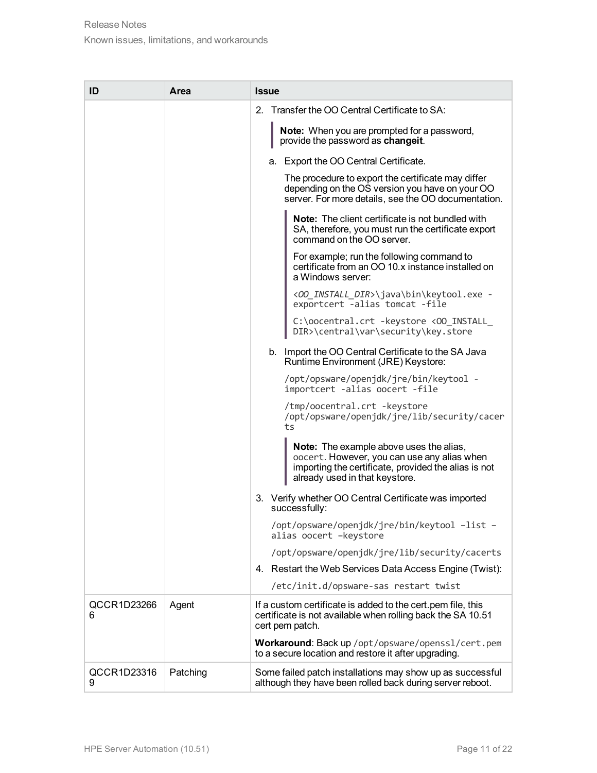| ID               | Area     | <b>Issue</b>                                                                                                                                                                            |
|------------------|----------|-----------------------------------------------------------------------------------------------------------------------------------------------------------------------------------------|
|                  |          | Transfer the OO Central Certificate to SA:<br>$2_{-}$                                                                                                                                   |
|                  |          | <b>Note:</b> When you are prompted for a password,<br>provide the password as changeit.                                                                                                 |
|                  |          | a. Export the OO Central Certificate.                                                                                                                                                   |
|                  |          | The procedure to export the certificate may differ<br>depending on the OS version you have on your OO<br>server. For more details, see the OO documentation.                            |
|                  |          | <b>Note:</b> The client certificate is not bundled with<br>SA, therefore, you must run the certificate export<br>command on the OO server.                                              |
|                  |          | For example; run the following command to<br>certificate from an OO 10.x instance installed on<br>a Windows server:                                                                     |
|                  |          | < <i>OO_INSTALL_DIR&gt;\</i> java\bin\keytool.exe -<br>exportcert -alias tomcat -file                                                                                                   |
|                  |          | C:\oocentral.crt -keystore <00_INSTALL_<br>DIR>\central\var\security\key.store                                                                                                          |
|                  |          | b. Import the OO Central Certificate to the SA Java<br>Runtime Environment (JRE) Keystore:                                                                                              |
|                  |          | /opt/opsware/openjdk/jre/bin/keytool -<br>importcert -alias oocert -file                                                                                                                |
|                  |          | /tmp/oocentral.crt -keystore<br>/opt/opsware/openjdk/jre/lib/security/cacer<br>ts                                                                                                       |
|                  |          | <b>Note:</b> The example above uses the alias,<br>oocert. However, you can use any alias when<br>importing the certificate, provided the alias is not<br>already used in that keystore. |
|                  |          | 3. Verify whether OO Central Certificate was imported<br>successfully:                                                                                                                  |
|                  |          | /opt/opsware/openjdk/jre/bin/keytool -list -<br>alias oocert -keystore                                                                                                                  |
|                  |          | /opt/opsware/openjdk/jre/lib/security/cacerts                                                                                                                                           |
|                  |          | 4. Restart the Web Services Data Access Engine (Twist):                                                                                                                                 |
|                  |          | /etc/init.d/opsware-sas restart twist                                                                                                                                                   |
| QCCR1D23266<br>6 | Agent    | If a custom certificate is added to the cert pem file, this<br>certificate is not available when rolling back the SA 10.51<br>cert pem patch.                                           |
|                  |          | Workaround: Back up /opt/opsware/openss1/cert.pem<br>to a secure location and restore it after upgrading.                                                                               |
| QCCR1D23316<br>9 | Patching | Some failed patch installations may show up as successful<br>although they have been rolled back during server reboot.                                                                  |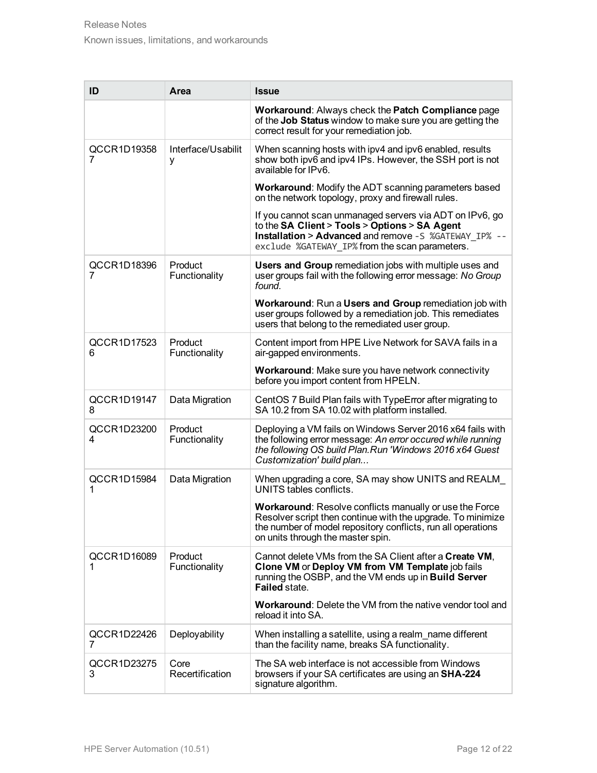| ID               | Area                     | <b>Issue</b>                                                                                                                                                                                                                       |
|------------------|--------------------------|------------------------------------------------------------------------------------------------------------------------------------------------------------------------------------------------------------------------------------|
|                  |                          | Workaround: Always check the Patch Compliance page<br>of the Job Status window to make sure you are getting the<br>correct result for your remediation job.                                                                        |
| QCCR1D19358<br>7 | Interface/Usabilit<br>у  | When scanning hosts with ipv4 and ipv6 enabled, results<br>show both ipv6 and ipv4 IPs. However, the SSH port is not<br>available for IPv6.                                                                                        |
|                  |                          | Workaround: Modify the ADT scanning parameters based<br>on the network topology, proxy and firewall rules.                                                                                                                         |
|                  |                          | If you cannot scan unmanaged servers via ADT on IPv6, go<br>to the SA Client > Tools > Options > SA Agent<br><b>Installation &gt; Advanced</b> and remove -S %GATEWAY IP% --<br>exclude %GATEWAY IP% from the scan parameters.     |
| QCCR1D18396<br>7 | Product<br>Functionality | Users and Group remediation jobs with multiple uses and<br>user groups fail with the following error message: No Group<br>found.                                                                                                   |
|                  |                          | Workaround: Run a Users and Group remediation job with<br>user groups followed by a remediation job. This remediates<br>users that belong to the remediated user group.                                                            |
| QCCR1D17523<br>6 | Product<br>Functionality | Content import from HPE Live Network for SAVA fails in a<br>air-gapped environments.                                                                                                                                               |
|                  |                          | Workaround: Make sure you have network connectivity<br>before you import content from HPELN.                                                                                                                                       |
| QCCR1D19147<br>8 | Data Migration           | CentOS 7 Build Plan fails with TypeError after migrating to<br>SA 10.2 from SA 10.02 with platform installed.                                                                                                                      |
| QCCR1D23200<br>4 | Product<br>Functionality | Deploying a VM fails on Windows Server 2016 x64 fails with<br>the following error message: An error occured while running<br>the following OS build Plan. Run 'Windows 2016 x64 Guest<br>Customization' build plan                 |
| QCCR1D15984<br>1 | Data Migration           | When upgrading a core, SA may show UNITS and REALM<br>UNITS tables conflicts.                                                                                                                                                      |
|                  |                          | <b>Workaround:</b> Resolve conflicts manually or use the Force<br>Resolver script then continue with the upgrade. To minimize<br>the number of model repository conflicts, run all operations<br>on units through the master spin. |
| QCCR1D16089<br>1 | Product<br>Functionality | Cannot delete VMs from the SA Client after a Create VM,<br>Clone VM or Deploy VM from VM Template job fails<br>running the OSBP, and the VM ends up in Build Server<br><b>Failed state</b>                                         |
|                  |                          | <b>Workaround:</b> Delete the VM from the native vendor tool and<br>reload it into SA.                                                                                                                                             |
| QCCR1D22426<br>7 | Deployability            | When installing a satellite, using a realm name different<br>than the facility name, breaks SA functionality.                                                                                                                      |
| QCCR1D23275<br>3 | Core<br>Recertification  | The SA web interface is not accessible from Windows<br>browsers if your SA certificates are using an SHA-224<br>signature algorithm.                                                                                               |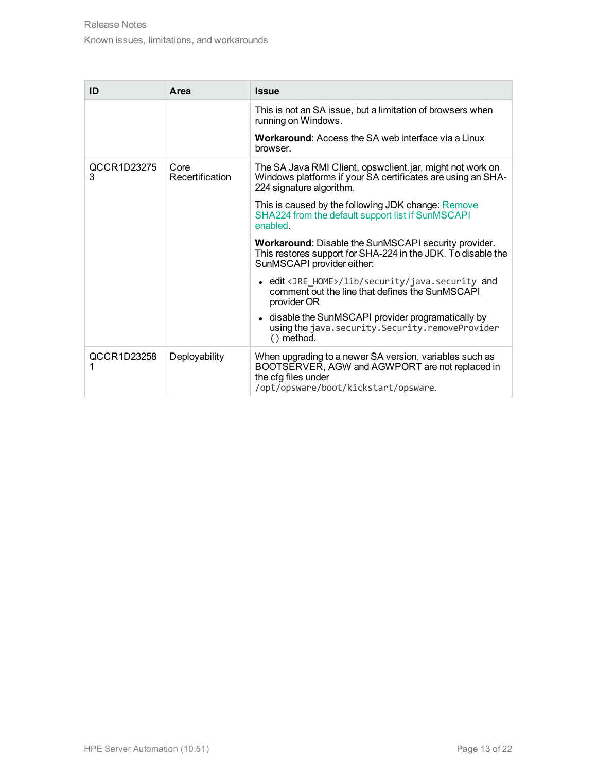| ID               | Area                    | <b>Issue</b>                                                                                                                                                              |
|------------------|-------------------------|---------------------------------------------------------------------------------------------------------------------------------------------------------------------------|
|                  |                         | This is not an SA issue, but a limitation of browsers when<br>running on Windows.                                                                                         |
|                  |                         | <b>Workaround:</b> Access the SA web interface via a Linux<br>browser.                                                                                                    |
| QCCR1D23275<br>3 | Core<br>Recertification | The SA Java RMI Client, opswclient.jar, might not work on<br>Windows platforms if your SA certificates are using an SHA-<br>224 signature algorithm.                      |
|                  |                         | This is caused by the following JDK change: Remove<br>SHA224 from the default support list if SunMSCAPI<br>enabled.                                                       |
|                  |                         | <b>Workaround: Disable the SunMSCAPI security provider.</b><br>This restores support for SHA-224 in the JDK. To disable the<br>SunMSCAPI provider either:                 |
|                  |                         | • edit <jre_home>/lib/security/java.security and<br/>comment out the line that defines the SunMSCAPI<br/>provider OR</jre_home>                                           |
|                  |                         | • disable the SunMSCAPI provider programatically by<br>using the java.security.Security.removeProvider<br>$()$ method.                                                    |
| QCCR1D23258<br>1 | Deployability           | When upgrading to a newer SA version, variables such as<br>BOOTSERVER, AGW and AGWPORT are not replaced in<br>the cfg files under<br>/opt/opsware/boot/kickstart/opsware. |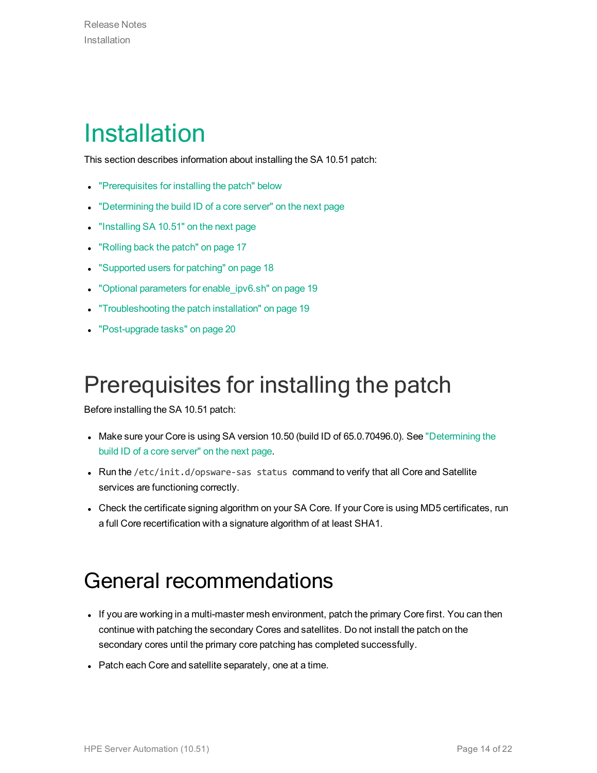### <span id="page-13-0"></span>Installation

This section describes information about installing the SA 10.51 patch:

- ["Prerequisites](#page-13-1) for installing the patch" below
- ["Determining](#page-14-0) the build ID of a core server" on the next page
- "Installing [SA 10.51"](#page-14-1) on the next page
- ["Rolling](#page-16-0) back the patch" on page 17
- ["Supported](#page-17-1) users for patching" on page 18
- "Optional parameters for [enable\\_ipv6.sh"](#page-18-1) on page 19
- ["Troubleshooting](#page-18-2) the patch installation" on page 19
- ["Post-upgrade](#page-19-0) tasks" on page 20

#### <span id="page-13-1"></span>Prerequisites for installing the patch

Before installing the SA 10.51 patch:

- Make sure your Core is using SA version 10.50 (build ID of 65.0.70496.0). See ["Determining](#page-14-0) the build ID of a core [server"](#page-14-0) on the next page.
- Run the / $etc/init.d/opsware-sas$  status command to verify that all Core and Satellite services are functioning correctly.
- <span id="page-13-2"></span>• Check the certificate signing algorithm on your SA Core. If your Core is using MD5 certificates, run a full Core recertification with a signature algorithm of at least SHA1.

#### General recommendations

- If you are working in a multi-master mesh environment, patch the primary Core first. You can then continue with patching the secondary Cores and satellites. Do not install the patch on the secondary cores until the primary core patching has completed successfully.
- Patch each Core and satellite separately, one at a time.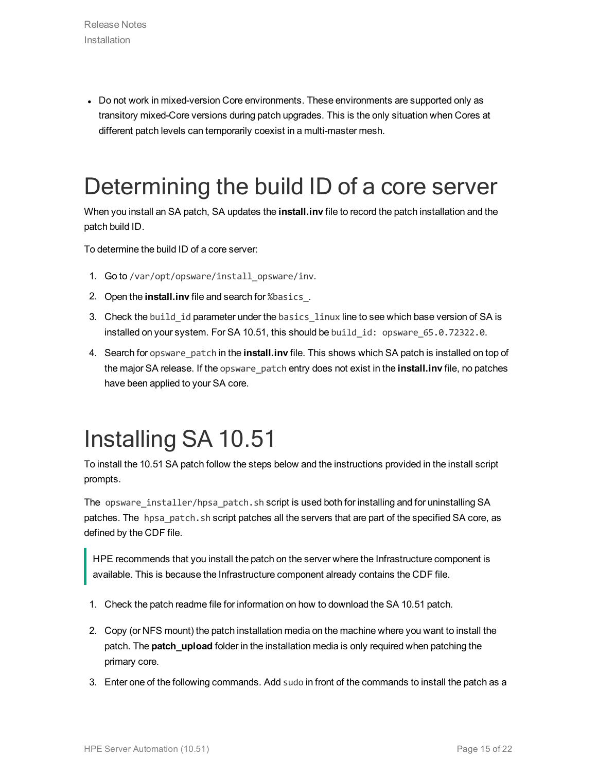• Do not work in mixed-version Core environments. These environments are supported only as transitory mixed-Core versions during patch upgrades. This is the only situation when Cores at different patch levels can temporarily coexist in a multi-master mesh.

#### <span id="page-14-0"></span>Determining the build ID of a core server

When you install an SA patch, SA updates the **install.inv** file to record the patch installation and the patch build ID.

To determine the build ID of a core server:

- 1. Go to /var/opt/opsware/install\_opsware/inv.
- 2. Open the **install.inv** file and search for %basics\_.
- 3. Check the build\_id parameter under the basics\_linux line to see which base version of SA is installed on your system. For SA 10.51, this should be build\_id: opsware\_65.0.72322.0.
- 4. Search for opsware\_patch in the **install.inv** file. This shows which SA patch is installed on top of the major SA release. If the opsware\_patch entry does not exist in the **install.inv** file, no patches have been applied to your SA core.

### <span id="page-14-1"></span>Installing SA 10.51

To install the 10.51 SA patch follow the steps below and the instructions provided in the install script prompts.

The opsware\_installer/hpsa\_patch.sh script is used both for installing and for uninstalling SA patches. The hpsa\_patch.sh script patches all the servers that are part of the specified SA core, as defined by the CDF file.

HPE recommends that you install the patch on the server where the Infrastructure component is available. This is because the Infrastructure component already contains the CDF file.

- 1. Check the patch readme file for information on how to download the SA 10.51 patch.
- 2. Copy (or NFS mount) the patch installation media on the machine where you want to install the patch. The **patch\_upload** folder in the installation media is only required when patching the primary core.
- 3. Enter one of the following commands. Add sudo in front of the commands to install the patch as a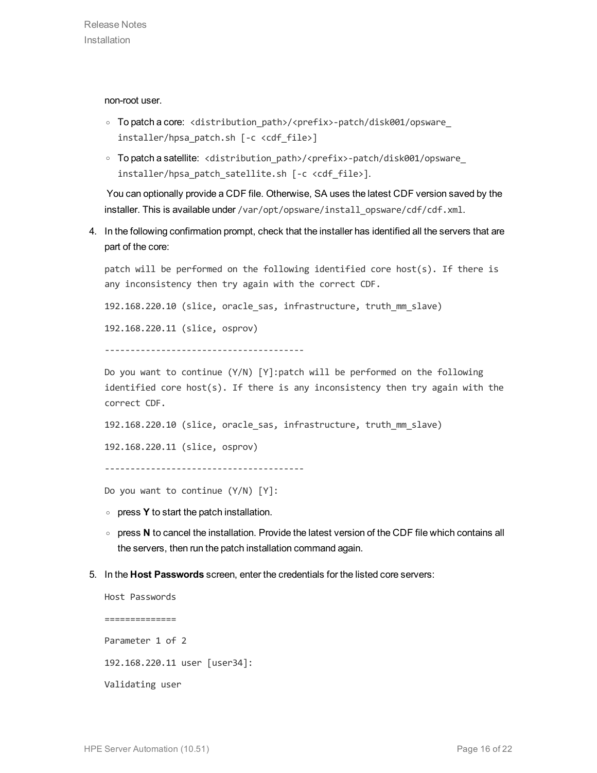non-root user.

- <sup>o</sup> To patch a core: <distribution\_path>/<prefix>-patch/disk001/opsware\_ installer/hpsa\_patch.sh [-c <cdf\_file>]
- <sup>o</sup> To patch a satellite: <distribution\_path>/<prefix>-patch/disk001/opsware\_ installer/hpsa\_patch\_satellite.sh [-c <cdf\_file>].

 You can optionally provide a CDF file. Otherwise, SA uses the latest CDF version saved by the installer. This is available under /var/opt/opsware/install\_opsware/cdf/cdf.xml.

4. In the following confirmation prompt, check that the installer has identified all the servers that are part of the core:

patch will be performed on the following identified core host(s). If there is any inconsistency then try again with the correct CDF.

192.168.220.10 (slice, oracle\_sas, infrastructure, truth\_mm\_slave)

192.168.220.11 (slice, osprov)

---------------------------------------

Do you want to continue (Y/N) [Y]:patch will be performed on the following identified core host $(s)$ . If there is any inconsistency then try again with the correct CDF.

192.168.220.10 (slice, oracle\_sas, infrastructure, truth\_mm\_slave)

192.168.220.11 (slice, osprov)

```
---------------------------------------
```
Do you want to continue (Y/N) [Y]:

- <sup>o</sup> press **Y** to start the patch installation.
- <sup>o</sup> press **N** to cancel the installation. Provide the latest version of the CDF file which contains all the servers, then run the patch installation command again.
- 5. In the **Host Passwords** screen, enter the credentials for the listed core servers:

Host Passwords ============== Parameter 1 of 2 192.168.220.11 user [user34]: Validating user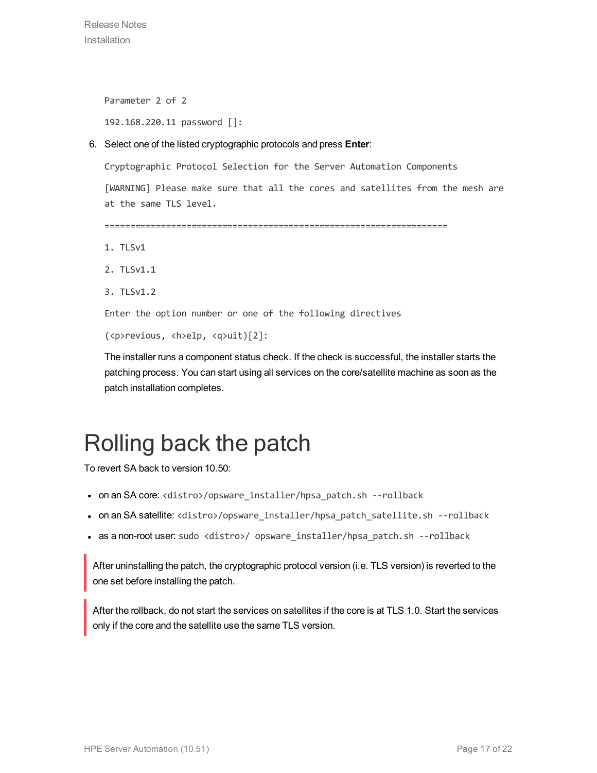Release Notes Installation

Parameter 2 of 2

192.168.220.11 password []:

6. Select one of the listed cryptographic protocols and press **Enter**:

Cryptographic Protocol Selection for the Server Automation Components

[WARNING] Please make sure that all the cores and satellites from the mesh are at the same TLS level.

===================================================================

- 1. TLSv1
- 2. TLSv1.1
- 3. TLSv1.2

Enter the option number or one of the following directives

(<p>revious, <h>elp, <q>uit)[2]:

The installer runs a component status check. If the check is successful, the installer starts the patching process. You can start using all services on the core/satellite machine as soon as the patch installation completes.

#### <span id="page-16-0"></span>Rolling back the patch

To revert SA back to version 10.50:

- on an SA core: <distro>/opsware\_installer/hpsa\_patch.sh --rollback
- <sup>l</sup> on an SA satellite: <distro>/opsware\_installer/hpsa\_patch\_satellite.sh --rollback
- as a non-root user: sudo <distro>/ opsware\_installer/hpsa\_patch.sh --rollback

After uninstalling the patch, the cryptographic protocol version (i.e. TLS version) is reverted to the one set before installing the patch.

After the rollback, do not start the services on satellites if the core is at TLS 1.0. Start the services only if the core and the satellite use the same TLS version.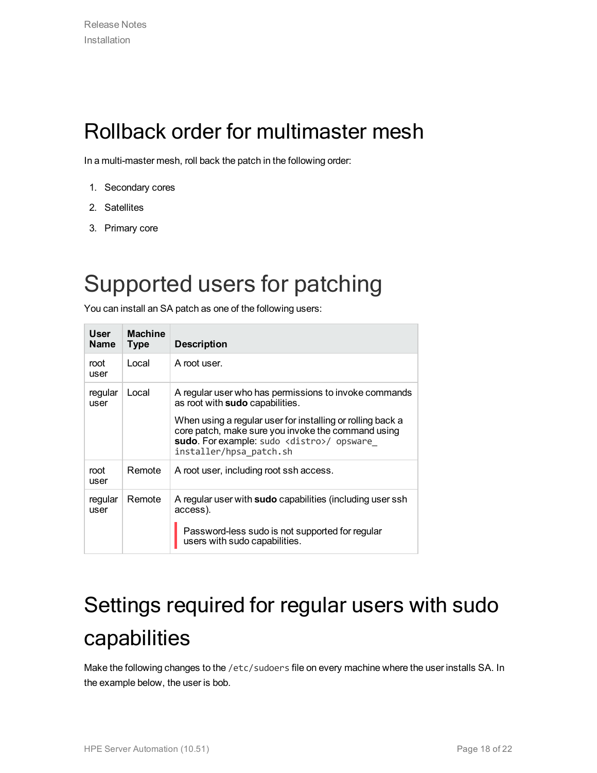#### <span id="page-17-0"></span>Rollback order for multimaster mesh

In a multi-master mesh, roll back the patch in the following order:

- 1. Secondary cores
- 2. Satellites
- 3. Primary core

#### <span id="page-17-1"></span>Supported users for patching

You can install an SA patch as one of the following users:

| User<br><b>Name</b> | <b>Machine</b><br><b>Type</b> | <b>Description</b>                                                                                                                                                                                                                                                                             |
|---------------------|-------------------------------|------------------------------------------------------------------------------------------------------------------------------------------------------------------------------------------------------------------------------------------------------------------------------------------------|
| root<br>user        | Local                         | A root user.                                                                                                                                                                                                                                                                                   |
| regular<br>user     | Local                         | A regular user who has permissions to invoke commands<br>as root with sudo capabilities.<br>When using a regular user for installing or rolling back a<br>core patch, make sure you invoke the command using<br>sudo. For example: sudo <distro>/ opsware<br/>installer/hpsa patch.sh</distro> |
| root<br>user        | Remote                        | A root user, including root ssh access.                                                                                                                                                                                                                                                        |
| regular<br>user     | Remote                        | A regular user with <b>sudo</b> capabilities (including user ssh<br>access).<br>Password-less sudo is not supported for regular<br>users with sudo capabilities.                                                                                                                               |

### <span id="page-17-2"></span>Settings required for regular users with sudo capabilities

Make the following changes to the /etc/sudoers file on every machine where the user installs SA. In the example below, the user is bob.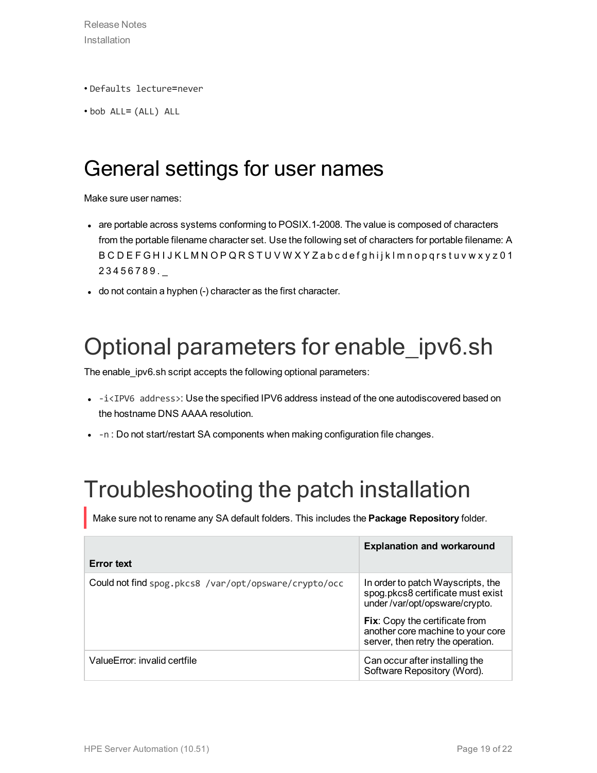- Defaults lecture=never
- <span id="page-18-0"></span>• bob ALL= (ALL) ALL

#### General settings for user names

Make sure user names:

- are portable across systems conforming to POSIX.1-2008. The value is composed of characters from the portable filename character set. Use the following set of characters for portable filename: A B C D E F G H I J K L M N O P Q R S T U V W X Y Z a b c d e f g h i j k l m n o p q r s t u v w x y z 0 1 2 3 4 5 6 7 8 9 . \_
- do not contain a hyphen (-) character as the first character.

### <span id="page-18-1"></span>Optional parameters for enable\_ipv6.sh

The enable\_ipv6.sh script accepts the following optional parameters:

- $\bullet$  -i<IPV6 address>: Use the specified IPV6 address instead of the one autodiscovered based on the hostname DNS AAAA resolution.
- -n : Do not start/restart SA components when making configuration file changes.

#### <span id="page-18-2"></span>Troubleshooting the patch installation

Make sure not to rename any SA default folders. This includes the **Package Repository** folder.

| <b>Error</b> text                                     | <b>Explanation and workaround</b>                                                                               |
|-------------------------------------------------------|-----------------------------------------------------------------------------------------------------------------|
| Could not find spog.pkcs8 /var/opt/opsware/crypto/occ | In order to patch Wayscripts, the<br>spog.pkcs8 certificate must exist<br>under/var/opt/opsware/crypto.         |
|                                                       | <b>Fix:</b> Copy the certificate from<br>another core machine to your core<br>server, then retry the operation. |
| ValueError: invalid certfile                          | Can occur after installing the<br>Software Repository (Word).                                                   |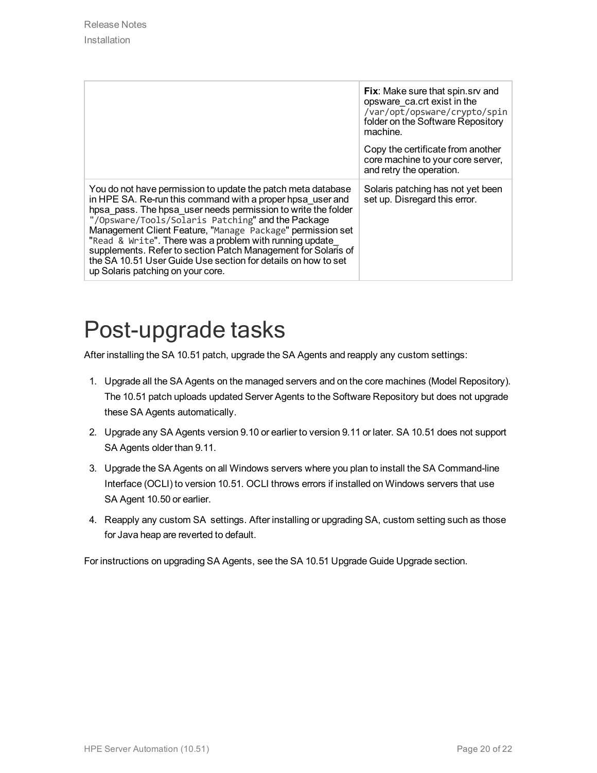|                                                                                                                                                                                                                                                                                                                                                                                                                                                                                                                                                  | Fix: Make sure that spin.srv and<br>opsware ca.crt exist in the<br>/var/opt/opsware/crypto/spin<br>folder on the Software Repository<br>machine.<br>Copy the certificate from another |
|--------------------------------------------------------------------------------------------------------------------------------------------------------------------------------------------------------------------------------------------------------------------------------------------------------------------------------------------------------------------------------------------------------------------------------------------------------------------------------------------------------------------------------------------------|---------------------------------------------------------------------------------------------------------------------------------------------------------------------------------------|
|                                                                                                                                                                                                                                                                                                                                                                                                                                                                                                                                                  | core machine to your core server,<br>and retry the operation.                                                                                                                         |
| You do not have permission to update the patch meta database<br>in HPE SA. Re-run this command with a proper hpsa user and<br>hpsa pass. The hpsa user needs permission to write the folder<br>"/Opsware/Tools/Solaris Patching" and the Package<br>Management Client Feature, "Manage Package" permission set<br>"Read & Write". There was a problem with running update<br>supplements. Refer to section Patch Management for Solaris of<br>the SA 10.51 User Guide Use section for details on how to set<br>up Solaris patching on your core. | Solaris patching has not yet been<br>set up. Disregard this error.                                                                                                                    |

#### <span id="page-19-0"></span>Post-upgrade tasks

After installing the SA 10.51 patch, upgrade the SA Agents and reapply any custom settings:

- 1. Upgrade all the SA Agents on the managed servers and on the core machines (Model Repository). The 10.51 patch uploads updated Server Agents to the Software Repository but does not upgrade these SA Agents automatically.
- 2. Upgrade any SA Agents version 9.10 or earlier to version 9.11 or later. SA 10.51 does not support SA Agents older than 9.11.
- 3. Upgrade the SA Agents on all Windows servers where you plan to install the SA Command-line Interface (OCLI) to version 10.51. OCLI throws errors if installed on Windows servers that use SA Agent 10.50 or earlier.
- 4. Reapply any custom SA settings. After installing or upgrading SA, custom setting such as those for Java heap are reverted to default.

For instructions on upgrading SA Agents, see the SA 10.51 Upgrade Guide Upgrade section.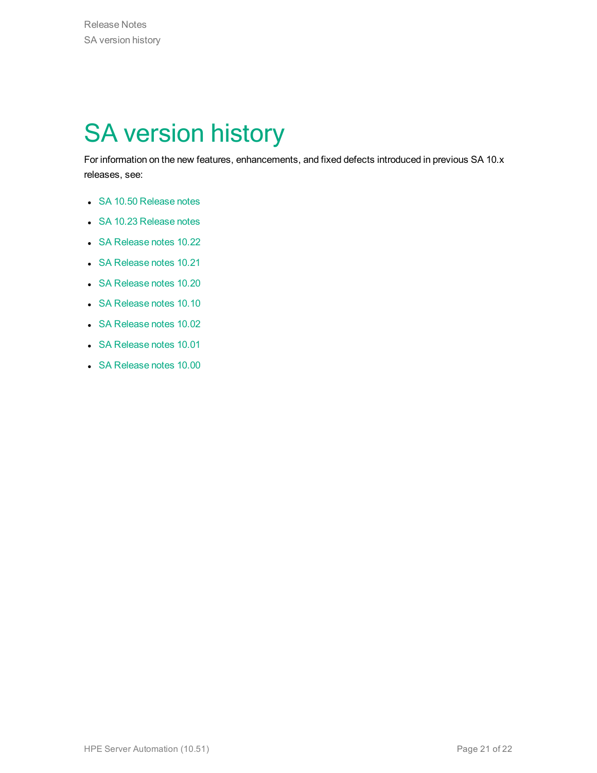## <span id="page-20-0"></span>SA version history

For information on the new features, enhancements, and fixed defects introduced in previous SA 10.x releases, see:

- SA 10.50 [Release](https://softwaresupport.hpe.com/km/KM02475547) notes
- SA 10.23 [Release](https://softwaresupport.hpe.com/km/KM00417675) notes
- SA [Release](https://softwaresupport.hpe.com/km/KM00417675) notes 10.22
- SA [Release](https://softwaresupport.hp.com/group/softwaresupport/search-result/-/facetsearch/document/KM01490694) notes 10.21
- SA [Release](https://softwaresupport.hp.com/group/softwaresupport/search-result/-/facetsearch/document/KM01253520) notes 10.20
- SA [Release](https://softwaresupport.hp.com/group/softwaresupport/search-result/-/facetsearch/document/KM00774555) notes 10.10
- SA [Release](https://softwaresupport.hp.com/group/softwaresupport/search-result/-/facetsearch/document/KM01090480) notes 10.02
- SA [Release](https://softwaresupport.hp.com/group/softwaresupport/search-result/-/facetsearch/document/KM00634313) notes 10.01
- SA [Release](https://softwaresupport.hp.com/group/softwaresupport/search-result/-/facetsearch/document/KM00417669) notes 10.00